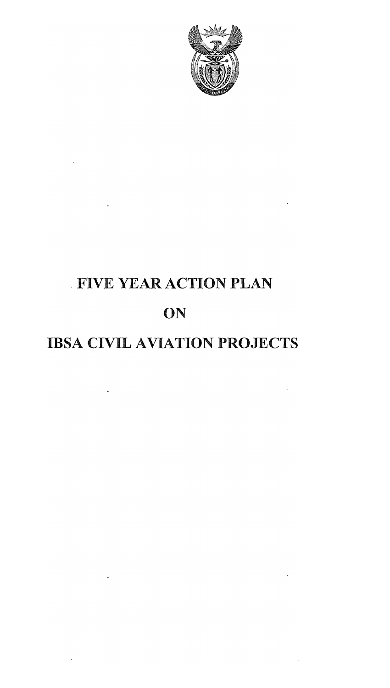

 $\bar{\Delta}$ 

 $\sim$ 

 $\sim$   $\sim$ 

 $\sim 10^{11}$  m  $^{-1}$ 

 $\sim 10^{-11}$  .

# · FIVE YEAR ACTION PLAN

 $\mathbb{R}^2$ 

 $\ddot{\phantom{0}}$ 

 $\ddot{\phantom{a}}$ 

 $\sim 10^{-10}$ 

# ON

## IBSA CIVIL AVIATION PROJECTS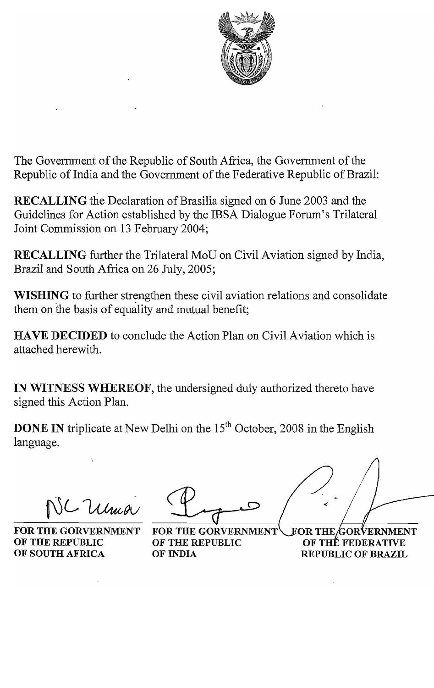

The Government of the Republic of South Africa, the Government of the Republic of India and the Government of the Federative Republic of Brazil:

RECALLING the Declaration of Brasilia signed on 6 June 2003 and the Guidelines for Action established by the IBSA Dialogue Forum's Trilateral Joint Commission on 13 February 2004;

RECALLING further the Trilateral MoU on Civil Aviation signed by India, Brazil and South Africa on 26 July, 2005;

WISHING to further strengthen these civil aviation relations and consolidate them on the basis of equality and mutual benefit;

HAVE DECIDED to conclude the Action Plan on Civil Aviation which is attached herewith.

IN WITNESS WHEREOF, the undersigned duly authorized thereto have signed this Action Plan.

**DONE IN** triplicate at New Delhi on the  $15<sup>th</sup>$  October, 2008 in the English language.

Ulma

FOR THE GORVERNMENT FOR THE GORVERNMENT OF THE REPUBLIC OF THE REPUBLIC OF SOUTH AFRICA OF INDIA

ORVERNMENT OF THÉ FEDERATIVE REPUBLIC OF BRAZIL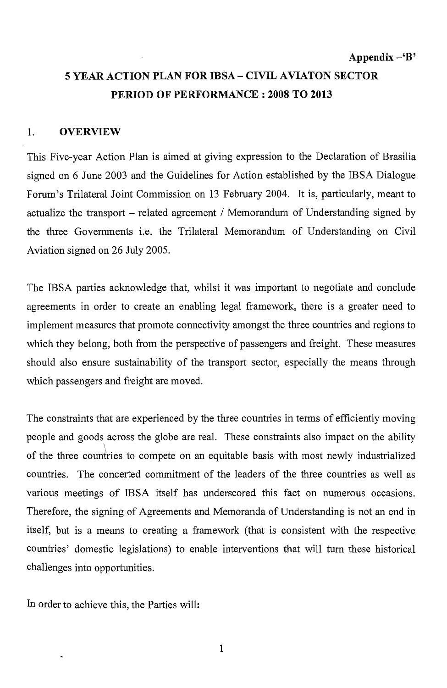### 5 YEAR ACTION PLAN FOR IBSA - CIVIL AVIATON SECTOR PERIOD OF **PERFORMANCE: 2008 TO 2013**

#### 1. OVERVIEW

This Five-year Action Plan is aimed at giving expression to the Declaration of Brasilia signed on 6 June 2003 and the Guidelines for Action established by the IBSA Dialogue Forum's Trilateral Joint Commission on 13 February 2004. It is, particularly, meant to actualize the transport – related agreement / Memorandum of Understanding signed by the three Governments i.e. the Trilateral Memorandum of Understanding on Civil Aviation signed on 26 July 2005.

The IBSA parties acknowledge that, whilst it was important to negotiate and conclude agreements in order to create an enabling legal framework, there is a greater need to implement measures that promote connectivity amongst the three countries and regions to which they belong, both from the perspective of passengers and freight. These measures should also ensure sustainability of the transport sector, especially the means through which passengers and freight are moved.

The constraints that are experienced by the three countries in terms of efficiently moving people and goods across the globe are real. These constraints also impact on the ability of the three countries to compete on an equitable basis with most newly industrialized countries. The concerted commitment of the leaders of the three countries as well as various meetings of IBSA itself has underscored this fact on numerous occasions. Therefore, the signing of Agreements and Memoranda of Understanding is not an end in itself, but is a means to creating a framework (that is consistent with the respective countries' domestic legislations) to enable interventions that will tum these historical challenges into opportunities.

In order to achieve this, the Parties will: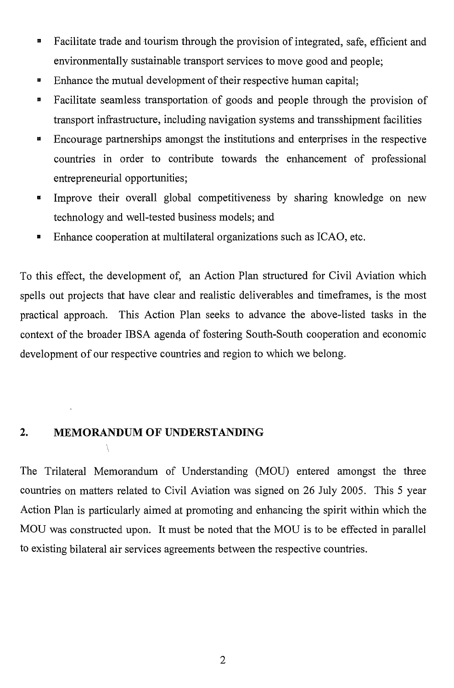- **EXECUTE:** Facilitate trade and tourism through the provision of integrated, safe, efficient and environmentally sustainable transport services to move good and people;
- Enhance the mutual development of their respective human capital;
- **EXECUTE:** Facilitate seamless transportation of goods and people through the provision of transport infrastructure, including navigation systems and transshipment facilities
- **Encourage partnerships amongst the institutions and enterprises in the respective** countries in order to contribute towards the enhancement of professional entrepreneurial opportunities;
- Improve their overall global competitiveness by sharing knowledge on new technology and well-tested business models; and
- **Enhance cooperation at multilateral organizations such as ICAO, etc.**

To this effect, the development of, an Action Plan structured for Civil Aviation which spells out projects that have clear and realistic deliverables and timeframes, is the most practical approach. This Action Plan seeks to advance the above-listed tasks in the context of the broader IBSA agenda of fostering South-South cooperation and economic development of our respective countries and region to which we belong.

#### 2. MEMORANDUM OF UNDERSTANDING

Y

The Trilateral Memorandum of Understanding (MOD) entered amongst the three countries on matters related to Civil Aviation was signed on 26 July 2005. This 5 year Action Plan is particularly aimed at promoting and enhancing the spirit within which the MOU was constructed upon. It must be noted that the MOU is to be effected in parallel to existing bilateral air services agreements between the respective countries.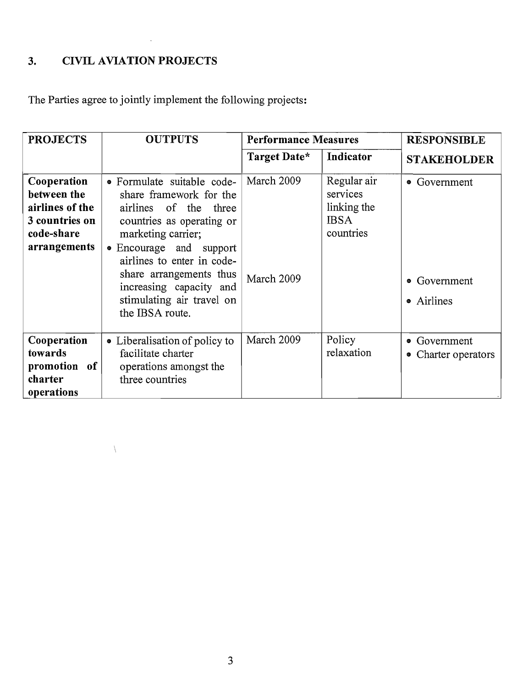### 3. CIVIL AVIATION PROJECTS

 $\bar{\bar{\lambda}}$ 

 $\sim 10^{11}$ 

The Parties agree to jointly implement the following projects:

| <b>PROJECTS</b>                                                                               | <b>OUTPUTS</b>                                                                                                                                                                                                                                                                                   | <b>Performance Measures</b> |                                                                    | <b>RESPONSIBLE</b>                         |
|-----------------------------------------------------------------------------------------------|--------------------------------------------------------------------------------------------------------------------------------------------------------------------------------------------------------------------------------------------------------------------------------------------------|-----------------------------|--------------------------------------------------------------------|--------------------------------------------|
|                                                                                               |                                                                                                                                                                                                                                                                                                  | Target Date*                | Indicator                                                          | <b>STAKEHOLDER</b>                         |
| Cooperation<br>between the<br>airlines of the<br>3 countries on<br>code-share<br>arrangements | • Formulate suitable code-<br>share framework for the<br>airlines of the three<br>countries as operating or<br>marketing carrier;<br>• Encourage and support<br>airlines to enter in code-<br>share arrangements thus<br>increasing capacity and<br>stimulating air travel on<br>the IBSA route. | March 2009<br>March 2009    | Regular air<br>services<br>linking the<br><b>IBSA</b><br>countries | • Government<br>• Government<br>• Airlines |
| Cooperation<br>towards<br>promotion of<br>charter<br>operations                               | • Liberalisation of policy to<br>facilitate charter<br>operations amongst the<br>three countries                                                                                                                                                                                                 | March 2009                  | Policy<br>relaxation                                               | • Government<br>• Charter operators        |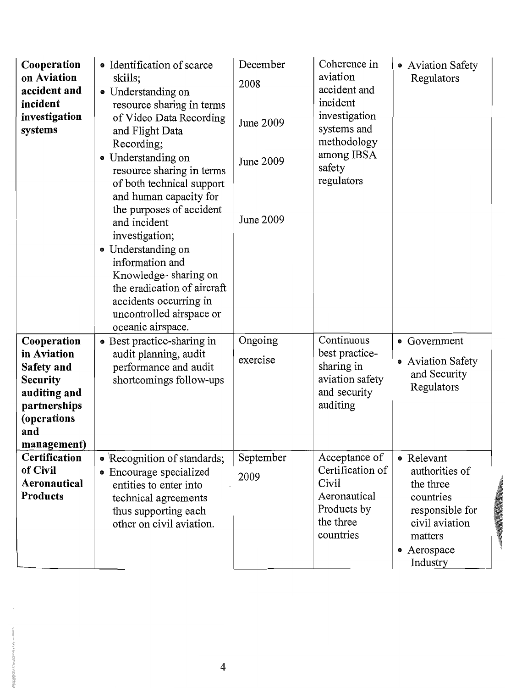| Cooperation<br>on Aviation<br>accident and<br>incident<br>investigation<br>systems                                               | · Identification of scarce<br>skills;<br>• Understanding on<br>resource sharing in terms<br>of Video Data Recording<br>and Flight Data<br>Recording;<br>• Understanding on<br>resource sharing in terms<br>of both technical support<br>and human capacity for<br>the purposes of accident<br>and incident<br>investigation;<br>• Understanding on<br>information and<br>Knowledge-sharing on<br>the eradication of aircraft<br>accidents occurring in<br>uncontrolled airspace or<br>oceanic airspace. | December<br>2008<br>June 2009<br>June 2009<br>June 2009 | Coherence in<br>aviation<br>accident and<br>incident<br>investigation<br>systems and<br>methodology<br>among IBSA<br>safety<br>regulators | • Aviation Safety<br>Regulators                                                                                                   |
|----------------------------------------------------------------------------------------------------------------------------------|---------------------------------------------------------------------------------------------------------------------------------------------------------------------------------------------------------------------------------------------------------------------------------------------------------------------------------------------------------------------------------------------------------------------------------------------------------------------------------------------------------|---------------------------------------------------------|-------------------------------------------------------------------------------------------------------------------------------------------|-----------------------------------------------------------------------------------------------------------------------------------|
| Cooperation<br>in Aviation<br>Safety and<br><b>Security</b><br>auditing and<br>partnerships<br>(operations<br>and<br>management) | • Best practice-sharing in<br>audit planning, audit<br>performance and audit<br>shortcomings follow-ups                                                                                                                                                                                                                                                                                                                                                                                                 | Ongoing<br>exercise                                     | Continuous<br>best practice-<br>sharing in<br>aviation safety<br>and security<br>auditing                                                 | • Government<br>• Aviation Safety<br>and Security<br>Regulators                                                                   |
| Certification<br>of Civil<br>Aeronautical<br>Products                                                                            | • Recognition of standards;<br>• Encourage specialized<br>entities to enter into<br>technical agreements<br>thus supporting each<br>other on civil aviation.                                                                                                                                                                                                                                                                                                                                            | September<br>2009                                       | Acceptance of<br>Certification of<br>Civil<br>Aeronautical<br>Products by<br>the three<br>countries                                       | • Relevant<br>authorities of<br>the three<br>countries<br>responsible for<br>civil aviation<br>matters<br>• Aerospace<br>Industry |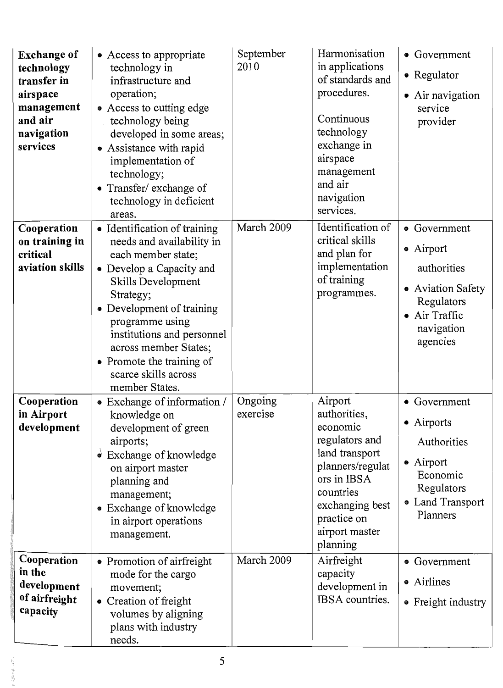| <b>Exchange of</b><br>technology<br>transfer in<br>airspace<br>management<br>and air<br>navigation<br>services | • Access to appropriate<br>technology in<br>infrastructure and<br>operation;<br>• Access to cutting edge<br>technology being<br>developed in some areas;<br>• Assistance with rapid<br>implementation of<br>technology;<br>• Transfer/ exchange of<br>technology in deficient<br>areas.                                         | September<br>2010   | Harmonisation<br>in applications<br>of standards and<br>procedures.<br>Continuous<br>technology<br>exchange in<br>airspace<br>management<br>and air<br>navigation<br>services.          | • Government<br>• Regulator<br>• Air navigation<br>service<br>provider                                               |
|----------------------------------------------------------------------------------------------------------------|---------------------------------------------------------------------------------------------------------------------------------------------------------------------------------------------------------------------------------------------------------------------------------------------------------------------------------|---------------------|-----------------------------------------------------------------------------------------------------------------------------------------------------------------------------------------|----------------------------------------------------------------------------------------------------------------------|
| Cooperation<br>on training in<br>critical<br>aviation skills                                                   | • Identification of training<br>needs and availability in<br>each member state;<br>• Develop a Capacity and<br>Skills Development<br>Strategy;<br>• Development of training<br>programme using<br>institutions and personnel<br>across member States;<br>Promote the training of<br>٠<br>scarce skills across<br>member States. | March 2009          | Identification of<br>critical skills<br>and plan for<br>implementation<br>of training<br>programmes.                                                                                    | • Government<br>• Airport<br>authorities<br>• Aviation Safety<br>Regulators<br>Air Traffic<br>navigation<br>agencies |
| Cooperation<br>in Airport<br>development                                                                       | • Exchange of information /<br>knowledge on<br>development of green<br>airports;<br>$\bullet$ Exchange of knowledge<br>on airport master<br>planning and<br>management;<br>Exchange of knowledge<br>$\bullet$<br>in airport operations<br>management.                                                                           | Ongoing<br>exercise | Airport<br>authorities,<br>economic<br>regulators and<br>land transport<br>planners/regulat<br>ors in IBSA<br>countries<br>exchanging best<br>practice on<br>airport master<br>planning | • Government<br>• Airports<br>Authorities<br>• Airport<br>Economic<br>Regulators<br>• Land Transport<br>Planners     |
| Cooperation<br>in the<br>development<br>of airfreight<br>capacity                                              | • Promotion of airfreight<br>mode for the cargo<br>movement;<br>Creation of freight<br>volumes by aligning<br>plans with industry<br>needs.                                                                                                                                                                                     | March 2009          | Airfreight<br>capacity<br>development in<br>IBSA countries.                                                                                                                             | • Government<br>• Airlines<br>• Freight industry                                                                     |